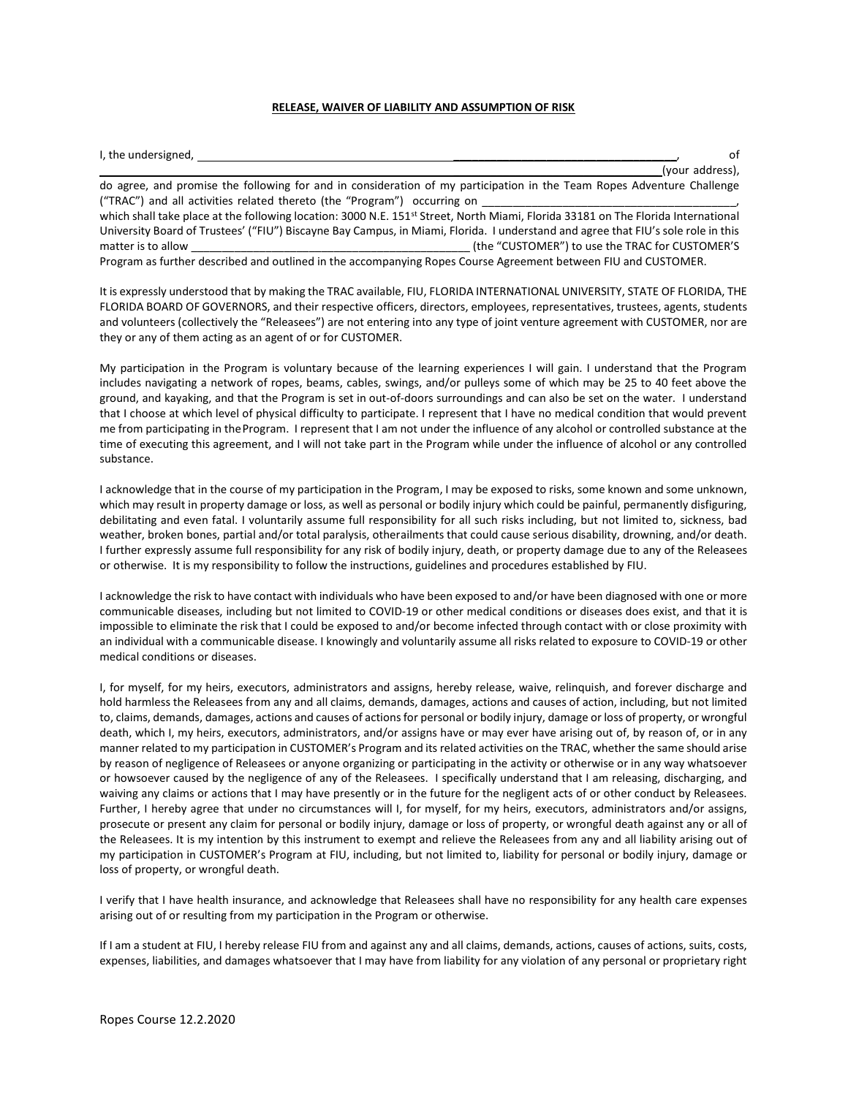## RELEASE, WAIVER OF LIABILITY AND ASSUMPTION OF RISK

| I, the undersigned,                                                                                                                           | of                                              |
|-----------------------------------------------------------------------------------------------------------------------------------------------|-------------------------------------------------|
|                                                                                                                                               | (your address),                                 |
| do agree, and promise the following for and in consideration of my participation in the Team Ropes Adventure Challenge                        |                                                 |
| ("TRAC") and all activities related thereto (the "Program") occurring on                                                                      |                                                 |
| which shall take place at the following location: 3000 N.E. 151 <sup>st</sup> Street, North Miami, Florida 33181 on The Florida International |                                                 |
| University Board of Trustees' ("FIU") Biscayne Bay Campus, in Miami, Florida. I understand and agree that FIU's sole role in this             |                                                 |
| matter is to allow                                                                                                                            | (the "CUSTOMER") to use the TRAC for CUSTOMER'S |
| Program as further described and outlined in the accompanying Ropes Course Agreement between FIU and CUSTOMER.                                |                                                 |

It is expressly understood that by making the TRAC available, FIU, FLORIDA INTERNATIONAL UNIVERSITY, STATE OF FLORIDA, THE FLORIDA BOARD OF GOVERNORS, and their respective officers, directors, employees, representatives, trustees, agents, students and volunteers (collectively the "Releasees") are not entering into any type of joint venture agreement with CUSTOMER, nor are they or any of them acting as an agent of or for CUSTOMER.

My participation in the Program is voluntary because of the learning experiences I will gain. I understand that the Program includes navigating a network of ropes, beams, cables, swings, and/or pulleys some of which may be 25 to 40 feet above the ground, and kayaking, and that the Program is set in out-of-doors surroundings and can also be set on the water. I understand that I choose at which level of physical difficulty to participate. I represent that I have no medical condition that would prevent me from participating in the Program. I represent that I am not under the influence of any alcohol or controlled substance at the time of executing this agreement, and I will not take part in the Program while under the influence of alcohol or any controlled substance.

I acknowledge that in the course of my participation in the Program, I may be exposed to risks, some known and some unknown, which may result in property damage or loss, as well as personal or bodily injury which could be painful, permanently disfiguring, debilitating and even fatal. I voluntarily assume full responsibility for all such risks including, but not limited to, sickness, bad weather, broken bones, partial and/or total paralysis, other ailments that could cause serious disability, drowning, and/or death. I further expressly assume full responsibility for any risk of bodily injury, death, or property damage due to any of the Releasees or otherwise. It is my responsibility to follow the instructions, guidelines and procedures established by FIU.

I acknowledge the risk to have contact with individuals who have been exposed to and/or have been diagnosed with one or more communicable diseases, including but not limited to COVID-19 or other medical conditions or diseases does exist, and that it is impossible to eliminate the risk that I could be exposed to and/or become infected through contact with or close proximity with an individual with a communicable disease. I knowingly and voluntarily assume all risks related to exposure to COVID-19 or other medical conditions or diseases.

I, for myself, for my heirs, executors, administrators and assigns, hereby release, waive, relinquish, and forever discharge and hold harmless the Releasees from any and all claims, demands, damages, actions and causes of action, including, but not limited to, claims, demands, damages, actions and causes of actions for personal or bodily injury, damage or loss of property, or wrongful death, which I, my heirs, executors, administrators, and/or assigns have or may ever have arising out of, by reason of, or in any manner related to my participation in CUSTOMER's Program and its related activities on the TRAC, whether the same should arise by reason of negligence of Releasees or anyone organizing or participating in the activity or otherwise or in any way whatsoever or howsoever caused by the negligence of any of the Releasees. I specifically understand that I am releasing, discharging, and waiving any claims or actions that I may have presently or in the future for the negligent acts of or other conduct by Releasees. Further, I hereby agree that under no circumstances will I, for myself, for my heirs, executors, administrators and/or assigns, prosecute or present any claim for personal or bodily injury, damage or loss of property, or wrongful death against any or all of the Releasees. It is my intention by this instrument to exempt and relieve the Releasees from any and all liability arising out of my participation in CUSTOMER's Program at FIU, including, but not limited to, liability for personal or bodily injury, damage or loss of property, or wrongful death.

I verify that I have health insurance, and acknowledge that Releasees shall have no responsibility for any health care expenses arising out of or resulting from my participation in the Program or otherwise.

If I am a student at FIU, I hereby release FIU from and against any and all claims, demands, actions, causes of actions, suits, costs, expenses, liabilities, and damages whatsoever that I may have from liability for any violation of any personal or proprietary right